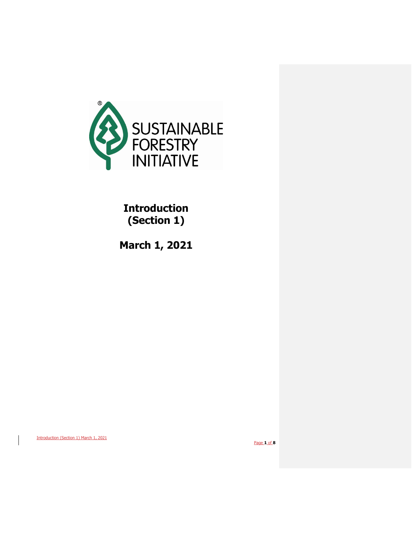

# **Introduction (Section 1)**

**March 1, 2021**

Introduction (Section 1) March 1, 2021

Page **1** of **8**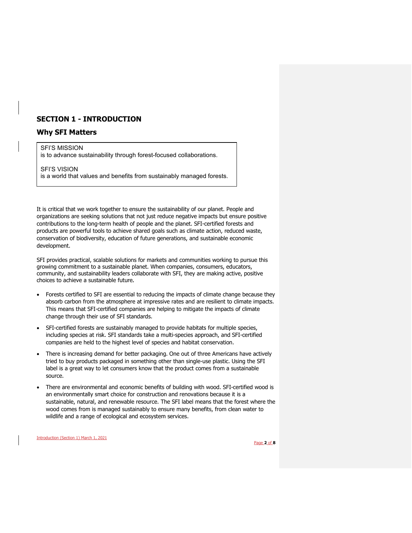# **SECTION 1 - INTRODUCTION**

## **Why SFI Matters**

#### SFI'S MISSION

is to advance sustainability through forest-focused collaborations.

SFI'S VISION is a world that values and benefits from sustainably managed forests.

It is critical that we work together to ensure the sustainability of our planet. People and organizations are seeking solutions that not just reduce negative impacts but ensure positive contributions to the long-term health of people and the planet. SFI-certified forests and products are powerful tools to achieve shared goals such as climate action, reduced waste, conservation of biodiversity, education of future generations, and sustainable economic development.

SFI provides practical, scalable solutions for markets and communities working to pursue this growing commitment to a sustainable planet. When companies, consumers, educators, community, and sustainability leaders collaborate with SFI, they are making active, positive choices to achieve a sustainable future**.**

- Forests certified to SFI are essential to reducing the impacts of climate change because they absorb carbon from the atmosphere at impressive rates and are resilient to climate impacts. This means that SFI-certified companies are helping to mitigate the impacts of climate change through their use of SFI standards.
- SFI-certified forests are sustainably managed to provide habitats for multiple species, including species at risk. SFI standards take a multi-species approach, and SFI-certified companies are held to the highest level of species and habitat conservation.
- There is increasing demand for better packaging. One out of three Americans have actively tried to buy products packaged in something other than single-use plastic. Using the SFI label is a great way to let consumers know that the product comes from a sustainable source.
- There are environmental and economic benefits of building with wood. SFI-certified wood is an environmentally smart choice for construction and renovations because it is a sustainable, natural, and renewable resource. The SFI label means that the forest where the wood comes from is managed sustainably to ensure many benefits, from clean water to wildlife and a range of ecological and ecosystem services.

Introduction (Section 1) March 1, 2021

Page **2** of **8**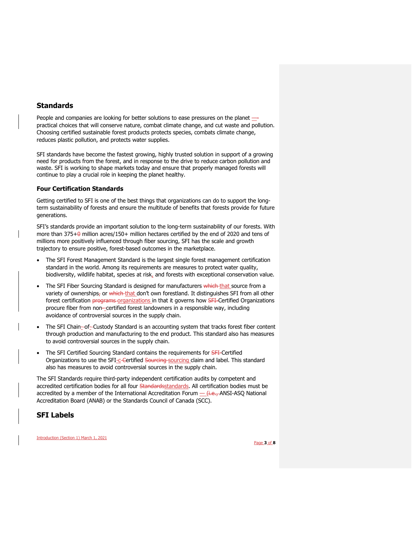## **Standards**

People and companies are looking for better solutions to ease pressures on the planet practical choices that will conserve nature, combat climate change, and cut waste and pollution. Choosing certified sustainable forest products protects species, combats climate change, reduces plastic pollution, and protects water supplies.

SFI standards have become the fastest growing, highly trusted solution in support of a growing need for products from the forest, and in response to the drive to reduce carbon pollution and waste. SFI is working to shape markets today and ensure that properly managed forests will continue to play a crucial role in keeping the planet healthy.

#### **Four Certification Standards**

Getting certified to SFI is one of the best things that organizations can do to support the longterm sustainability of forests and ensure the multitude of benefits that forests provide for future generations.

SFI's standards provide an important solution to the long-term sustainability of our forests. With more than  $375+0$  million acres/150+ million hectares certified by the end of 2020 and tens of millions more positively influenced through fiber sourcing, SFI has the scale and growth trajectory to ensure positive, forest-based outcomes in the marketplace.

- The SFI Forest Management Standard is the largest single forest management certification standard in the world. Among its requirements are measures to protect water quality, biodiversity, wildlife habitat, species at risk, and forests with exceptional conservation value.
- The SFI Fiber Sourcing Standard is designed for manufacturers which that source from a variety of ownerships, or which that don't own forestland. It distinguishes SFI from all other forest certification *programs organizations* in that it governs how SFI-Certified Organizations procure fiber from non--certified forest landowners in a responsible way, including avoidance of controversial sources in the supply chain.
- The SFI Chain--of--Custody Standard is an accounting system that tracks forest fiber content through production and manufacturing to the end product. This standard also has measures to avoid controversial sources in the supply chain.
- The SFI Certified Sourcing Standard contains the requirements for **SFI**-Certified Organizations to use the SFI-c-Certified Sourcing-sourcing claim and label. This standard also has measures to avoid controversial sources in the supply chain.

The SFI Standards require third-party independent certification audits by competent and accredited certification bodies for all four Standardsstandards. All certification bodies must be accredited by a member of the International Accreditation Forum  $-$  (i.e., ANSI-ASO National Accreditation Board (ANAB) or the Standards Council of Canada (SCC).

# **SFI Labels**

Introduction (Section 1) March 1, 2021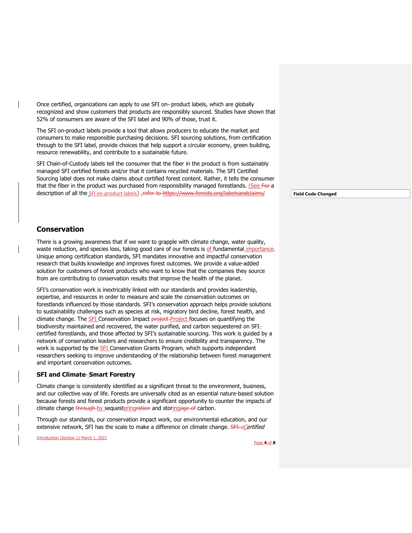Once certified, organizations can apply to use SFI on- product labels, which are globally recognized and show customers that products are responsibly sourced. Studies have shown that 52% of consumers are aware of the SFI label and 90% of those, trust it.

The SFI on-product labels provide a tool that allows producers to educate the market and consumers to make responsible purchasing decisions. SFI sourcing solutions, from certification through to the SFI label, provide choices that help support a circular economy, green building, resource renewability, and contribute to a sustainable future.

SFI Chain-of-Custody labels tell the consumer that the fiber in the product is from sustainably managed SFI certified forests and/or that it contains recycled materials. The SFI Certified Sourcing label does not make claims about certified forest content. Rather, it tells the consumer that the fiber in the product was purchased from responsibility managed forestlands. (See For a description of all the SFI on-product labels)-refer to https://www.forests.org/labelsandclaims/

**Field Code Changed**

## **Conservation**

There is a growing awareness that if we want to grapple with climate change, water quality, waste reduction, and species loss, taking good care of our forests is of fundamental importance. Unique among certification standards, SFI mandates innovative and impactful conservation research that builds knowledge and improves forest outcomes. We provide a value-added solution for customers of forest products who want to know that the companies they source from are contributing to conservation results that improve the health of the planet.

SFI's conservation work is inextricably linked with our standards and provides leadership, expertise, and resources in order to measure and scale the conservation outcomes on forestlands influenced by those standards. SFI's conservation approach helps provide solutions to sustainability challenges such as species at risk, migratory bird decline, forest health, and climate change. The **SFI** Conservation Impact project Project focuses on quantifying the biodiversity maintained and recovered, the water purified, and carbon sequestered on SFIcertified forestlands, and those affected by SFI's sustainable sourcing. This work is guided by a network of conservation leaders and researchers to ensure credibility and transparency. The work is supported by the **SFI** Conservation Grants Program, which supports independent researchers seeking to improve understanding of the relationship between forest management and important conservation outcomes.

#### **SFI and Climate Smart Forestry**

Climate change is consistently identified as a significant threat to the environment, business, and our collective way of life. Forests are universally cited as an essential nature-based solution because forests and forest products provide a significant opportunity to counter the impacts of climate change through by sequestering ration and storing age of carbon.

Through our standards, our conservation impact work, our environmental education, and our extensive network, SFI has the scale to make a difference on climate change. SFI-eCertified

Introduction (Section 1) March 1, 2021

Page **4** of **8**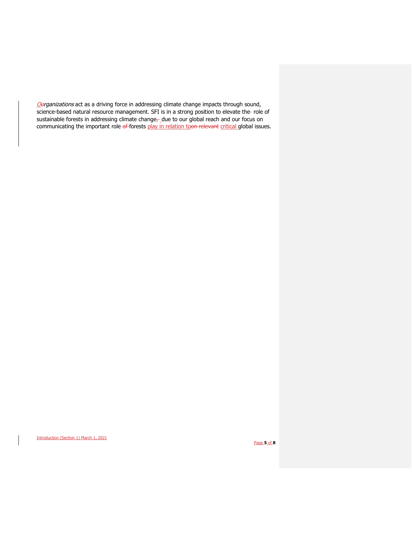Oerganizations act as a driving force in addressing climate change impacts through sound, science-based natural resource management. SFI is in a strong position to elevate the- role of sustainable forests in addressing climate change<sub>r</sub>\_due to our global reach and our focus on communicating the important role of forests play in relation toon relevant critical global issues.

Introduction (Section 1) March 1, 2021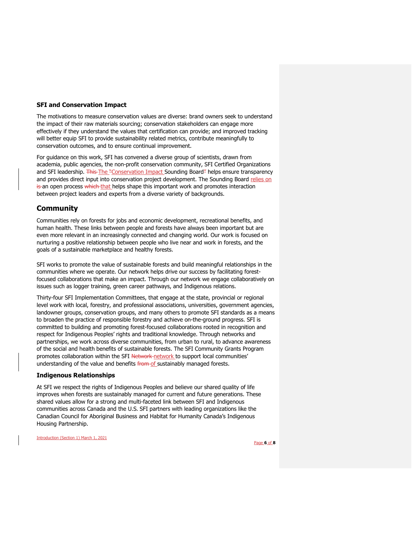#### **SFI and Conservation Impact**

The motivations to measure conservation values are diverse: brand owners seek to understand the impact of their raw materials sourcing; conservation stakeholders can engage more effectively if they understand the values that certification can provide; and improved tracking will better equip SFI to provide sustainability related metrics, contribute meaningfully to conservation outcomes, and to ensure continual improvement.

For guidance on this work, SFI has convened a diverse group of scientists, drawn from academia, public agencies, the non-profit conservation community, SFI Certified Organizations and SFI leadership. This The "Conservation Impact Sounding Board" helps ensure transparency and provides direct input into conservation project development. The Sounding Board relies on is an open process which that helps shape this important work and promotes interaction between project leaders and experts from a diverse variety of backgrounds.

## **Community**

Communities rely on forests for jobs and economic development, recreational benefits, and human health. These links between people and forests have always been important but are even more relevant in an increasingly connected and changing world. Our work is focused on nurturing a positive relationship between people who live near and work in forests, and the goals of a sustainable marketplace and healthy forests.

SFI works to promote the value of sustainable forests and build meaningful relationships in the communities where we operate. Our network helps drive our success by facilitating forestfocused collaborations that make an impact. Through our network we engage collaboratively on issues such as logger training, green career pathways, and Indigenous relations.

Thirty-four SFI Implementation Committees, that engage at the state, provincial or regional level work with local, forestry, and professional associations, universities, government agencies, landowner groups, conservation groups, and many others to promote SFI standards as a means to broaden the practice of responsible forestry and achieve on-the-ground progress. SFI is committed to building and promoting forest-focused collaborations rooted in recognition and respect for Indigenous Peoples' rights and traditional knowledge. Through networks and partnerships, we work across diverse communities, from urban to rural, to advance awareness of the social and health benefits of sustainable forests. The SFI Community Grants Program promotes collaboration within the SFI Network-network to support local communities' understanding of the value and benefits **from of** sustainably managed forests.

#### **Indigenous Relationships**

At SFI we respect the rights of Indigenous Peoples and believe our shared quality of life improves when forests are sustainably managed for current and future generations. These shared values allow for a strong and multi-faceted link between SFI and Indigenous communities across Canada and the U.S. SFI partners with leading organizations like the Canadian Council for Aboriginal Business and Habitat for Humanity Canada's Indigenous Housing Partnership.

Introduction (Section 1) March 1, 2021

Page **6** of **8**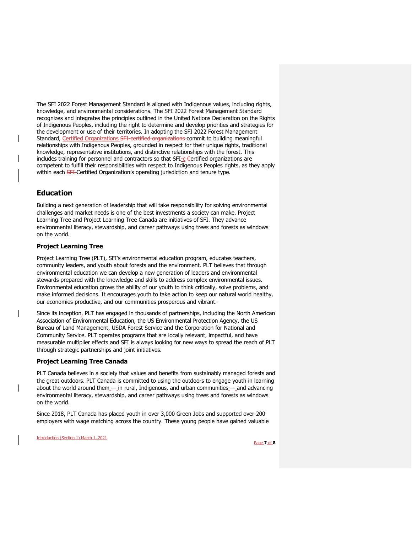The SFI 2022 Forest Management Standard is aligned with Indigenous values, including rights, knowledge, and environmental considerations. The SFI 2022 Forest Management Standard recognizes and integrates the principles outlined in the United Nations Declaration on the Rights of Indigenous Peoples, including the right to determine and develop priorities and strategies for the development or use of their territories. In adopting the SFI 2022 Forest Management Standard, Certified Organizations SFI-certified organizations commit to building meaningful relationships with Indigenous Peoples, grounded in respect for their unique rights, traditional knowledge, representative institutions, and distinctive relationships with the forest. This includes training for personnel and contractors so that SFI-C-Certified organizations are competent to fulfill their responsibilities with respect to Indigenous Peoples rights, as they apply within each **SFI** Certified Organization's operating jurisdiction and tenure type.

# **Education**

Building a next generation of leadership that will take responsibility for solving environmental challenges and market needs is one of the best investments a society can make. Project Learning Tree and Project Learning Tree Canada are initiatives of SFI. They advance environmental literacy, stewardship, and career pathways using trees and forests as windows on the world.

## **Project Learning Tree**

Project Learning Tree (PLT), SFI's environmental education program, educates teachers, community leaders, and youth about forests and the environment. PLT believes that through environmental education we can develop a new generation of leaders and environmental stewards prepared with the knowledge and skills to address complex environmental issues. Environmental education grows the ability of our youth to think critically, solve problems, and make informed decisions. It encourages youth to take action to keep our natural world healthy, our economies productive, and our communities prosperous and vibrant.

Since its inception, PLT has engaged in thousands of partnerships, including the North American Association of Environmental Education, the US Environmental Protection Agency, the US Bureau of Land Management, USDA Forest Service and the Corporation for National and Community Service. PLT operates programs that are locally relevant, impactful, and have measurable multiplier effects and SFI is always looking for new ways to spread the reach of PLT through strategic partnerships and joint initiatives.

#### **Project Learning Tree Canada**

PLT Canada believes in a society that values and benefits from sustainably managed forests and the great outdoors. PLT Canada is committed to using the outdoors to engage youth in learning about the world around them\_- in rural, Indigenous, and urban communities\_-and advancing environmental literacy, stewardship, and career pathways using trees and forests as windows on the world.

Since 2018, PLT Canada has placed youth in over 3,000 Green Jobs and supported over 200 employers with wage matching across the country. These young people have gained valuable

Introduction (Section 1) March 1, 2021

Page **7** of **8**